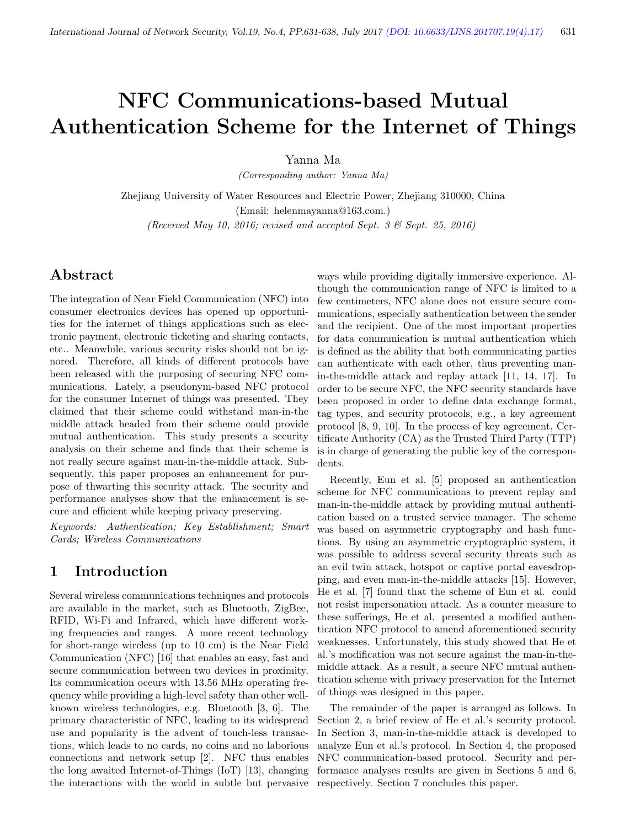# NFC Communications-based Mutual Authentication Scheme for the Internet of Things

Yanna Ma

(Corresponding author: Yanna Ma)

Zhejiang University of Water Resources and Electric Power, Zhejiang 310000, China (Email: helenmayanna@163.com.) (Received May 10, 2016; revised and accepted Sept. 3  $\mathcal{B}$  Sept. 25, 2016)

## Abstract

The integration of Near Field Communication (NFC) into consumer electronics devices has opened up opportunities for the internet of things applications such as electronic payment, electronic ticketing and sharing contacts, etc.. Meanwhile, various security risks should not be ignored. Therefore, all kinds of different protocols have been released with the purposing of securing NFC communications. Lately, a pseudonym-based NFC protocol for the consumer Internet of things was presented. They claimed that their scheme could withstand man-in-the middle attack headed from their scheme could provide mutual authentication. This study presents a security analysis on their scheme and finds that their scheme is not really secure against man-in-the-middle attack. Subsequently, this paper proposes an enhancement for purpose of thwarting this security attack. The security and performance analyses show that the enhancement is secure and efficient while keeping privacy preserving.

Keywords: Authentication; Key Establishment; Smart Cards; Wireless Communications

## 1 Introduction

Several wireless communications techniques and protocols are available in the market, such as Bluetooth, ZigBee, RFID, Wi-Fi and Infrared, which have different working frequencies and ranges. A more recent technology for short-range wireless (up to 10 cm) is the Near Field Communication (NFC) [16] that enables an easy, fast and secure communication between two devices in proximity. Its communication occurs with 13.56 MHz operating frequency while providing a high-level safety than other wellknown wireless technologies, e.g. Bluetooth [3, 6]. The primary characteristic of NFC, leading to its widespread use and popularity is the advent of touch-less transactions, which leads to no cards, no coins and no laborious connections and network setup [2]. NFC thus enables the long awaited Internet-of-Things (IoT) [13], changing the interactions with the world in subtle but pervasive ways while providing digitally immersive experience. Although the communication range of NFC is limited to a few centimeters, NFC alone does not ensure secure communications, especially authentication between the sender and the recipient. One of the most important properties for data communication is mutual authentication which is defined as the ability that both communicating parties can authenticate with each other, thus preventing manin-the-middle attack and replay attack [11, 14, 17]. In order to be secure NFC, the NFC security standards have been proposed in order to define data exchange format, tag types, and security protocols, e.g., a key agreement protocol [8, 9, 10]. In the process of key agreement, Certificate Authority (CA) as the Trusted Third Party (TTP) is in charge of generating the public key of the correspondents.

Recently, Eun et al. [5] proposed an authentication scheme for NFC communications to prevent replay and man-in-the-middle attack by providing mutual authentication based on a trusted service manager. The scheme was based on asymmetric cryptography and hash functions. By using an asymmetric cryptographic system, it was possible to address several security threats such as an evil twin attack, hotspot or captive portal eavesdropping, and even man-in-the-middle attacks [15]. However, He et al. [7] found that the scheme of Eun et al. could not resist impersonation attack. As a counter measure to these sufferings, He et al. presented a modified authentication NFC protocol to amend aforementioned security weaknesses. Unfortunately, this study showed that He et al.'s modification was not secure against the man-in-themiddle attack. As a result, a secure NFC mutual authentication scheme with privacy preservation for the Internet of things was designed in this paper.

The remainder of the paper is arranged as follows. In Section 2, a brief review of He et al.'s security protocol. In Section 3, man-in-the-middle attack is developed to analyze Eun et al.'s protocol. In Section 4, the proposed NFC communication-based protocol. Security and performance analyses results are given in Sections 5 and 6, respectively. Section 7 concludes this paper.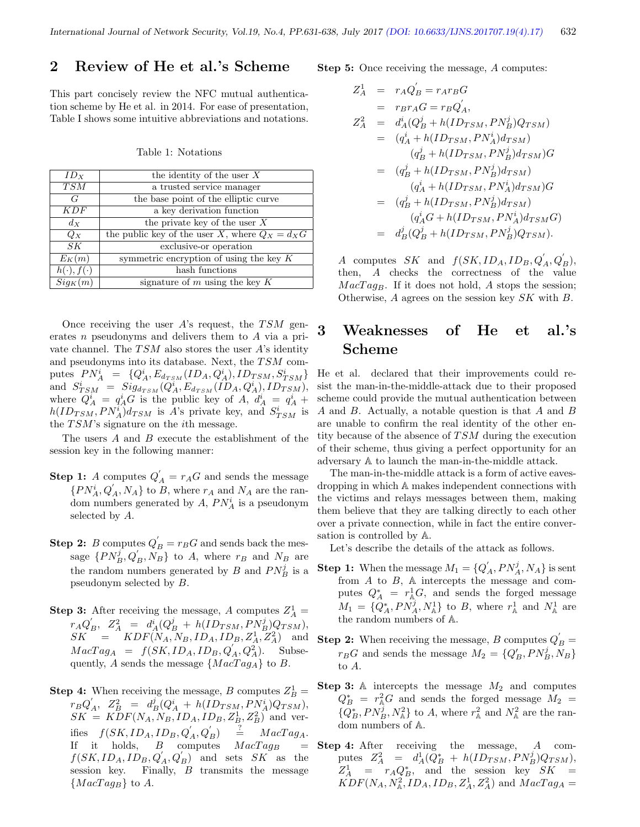## 2 Review of He et al.'s Scheme

This part concisely review the NFC mutual authentication scheme by He et al. in 2014. For ease of presentation, Table I shows some intuitive abbreviations and notations.

Table 1: Notations

| $ID_X$               | the identity of the user $X$                      |  |  |
|----------------------|---------------------------------------------------|--|--|
| <b>TSM</b>           | a trusted service manager                         |  |  |
| G                    | the base point of the elliptic curve              |  |  |
| KDF                  | a key derivation function                         |  |  |
| dx                   | the private key of the user $X$                   |  |  |
| $Q_X$                | the public key of the user X, where $Q_X = d_X G$ |  |  |
| SK                   | exclusive-or operation                            |  |  |
| $E_K(m)$             | symmetric encryption of using the key $K$         |  |  |
| $h(\cdot), f(\cdot)$ | hash functions                                    |  |  |
| $Sig_K(m)$           | signature of $m$ using the key $K$                |  |  |

Once receiving the user A's request, the  $TSM$  generates n pseudonyms and delivers them to A via a private channel. The  $TSM$  also stores the user A's identity and pseudonyms into its database. Next, the  $TSM$  computes  $PN_A^i = \{Q_A^i, E_{d_{TSM}}(ID_A, Q_A^i), ID_{TSM}, S_{TSM}^i\}$ and  $S_{TSM}^i = Sig_{d_{TSM}}(Q_A^i, E_{d_{TSM}}(ID_A, Q_A^i), ID_{TSM}),$ where  $\tilde{Q}^i_A = q^i_A G$  is the public key of A,  $d^i_A = q^i_A +$  $h(ID_{TSM}, PN_A^i) d_{TSM}$  is A's private key, and  $S_{TSM}^i$  is the  $TSM$ 's signature on the *i*th message.

The users  $A$  and  $B$  execute the establishment of the session key in the following manner:

- **Step 1:** A computes  $Q'_{A} = r_{A}G$  and sends the message  $\{PN_A^i, Q_A', N_A\}$  to B, where  $r_A$  and  $N_A$  are the random numbers generated by  $A$ ,  $PN_A^i$  is a pseudonym selected by A.
- **Step 2:** B computes  $Q'_B = r_B G$  and sends back the message  $\{PN_B^j, Q'_B, N_B\}$  to A, where  $r_B$  and  $N_B$  are the random numbers generated by  $B$  and  $PN_B^j$  is a pseudonym selected by B.
- **Step 3:** After receiving the message, A computes  $Z_A^1$  =  $r_A Q_B, \ \ Z_A^2 \ \ = \ \ d_A^i (Q_B^j \ + \ h(ID_{TSM}, PN_B^j) Q_{TSM}),$  $SK = KDF(N_A, N_B, ID_A, ID_B, Z_A^1, Z_A^2)$  and  $MacTag<sub>A</sub> = f(SK, ID<sub>A</sub>, ID<sub>B</sub>, Q<sub>A</sub><sup>'</sup>, Q<sub>A</sub><sup>2</sup>).$  Subsequently, A sends the message  $\{MacTag_A\}$  to B.
- **Step 4:** When receiving the message, B computes  $Z_B^1$  =  $r_B Q_{A}^{'}, \ \ Z_B^2 \ \ = \ \ d_B^j (Q_A^i \ + \ h(ID_{TSM}, PN_A^i) Q_{TSM}),$  $SK = KDF(N_A, N_B, ID_A, ID_B, Z_B^1, Z_B^2)$  and verifies  $f(SK, ID_A, ID_B, Q'_A, Q'_B) = MacTag_A$ . If it holds,  $B$  computes  $MacTag_B$  =  $f(SK, ID_A, ID_B, Q'_A, Q'_B)$  and sets  $SK$  as the session key. Finally,  $B$  transmits the message  ${MacTag_B}$  to A.

Step 5: Once receiving the message, A computes:

$$
Z_A^1 = r_A Q_B' = r_A r_B G
$$
  
\n
$$
= r_B r_A G = r_B Q_A',
$$
  
\n
$$
Z_A^2 = d_A^i (Q_B^j + h(ID_{TSM}, PN_B^j) Q_{TSM})
$$
  
\n
$$
= (q_A^i + h(ID_{TSM}, PN_A^j) d_{TSM})
$$
  
\n
$$
= (q_B^j + h(ID_{TSM}, PN_B^j) d_{TSM})
$$
  
\n
$$
= (q_B^j + h(ID_{TSM}, PN_A^j) d_{TSM})
$$
  
\n
$$
= (q_B^j + h(ID_{TSM}, PN_A^j) d_{TSM})
$$
  
\n
$$
= (q_B^j + h(ID_{TSM}, PN_B^j) d_{TSM})
$$
  
\n
$$
= d_B^j (Q_B^j + h(ID_{TSM}, PN_B^j) Q_{TSM}).
$$

A computes SK and  $f(SK, ID_A, ID_B, Q'_A, Q'_B)$ , then, A checks the correctness of the value  $MacTag_B$ . If it does not hold, A stops the session; Otherwise,  $A$  agrees on the session key  $SK$  with  $B$ .

# 3 Weaknesses of He et al.'s Scheme

He et al. declared that their improvements could resist the man-in-the-middle-attack due to their proposed scheme could provide the mutual authentication between A and B. Actually, a notable question is that A and B are unable to confirm the real identity of the other entity because of the absence of  $TSM$  during the execution of their scheme, thus giving a perfect opportunity for an adversary A to launch the man-in-the-middle attack.

The man-in-the-middle attack is a form of active eavesdropping in which A makes independent connections with the victims and relays messages between them, making them believe that they are talking directly to each other over a private connection, while in fact the entire conversation is controlled by A.

Let's describe the details of the attack as follows.

- **Step 1:** When the message  $M_1 = \{Q'_A, PN_A^j, N_A\}$  is sent from A to B, A intercepts the message and computes  $Q_A^* = r_A^1 G$ , and sends the forged message  $M_1 = \{Q_A^*, PN_A^j, N_A^1\}$  to B, where  $r_A^1$  and  $N_A^1$  are the random numbers of A.
- **Step 2:** When receiving the message, B computes  $Q'_B =$  $r_B G$  and sends the message  $M_2 = \{Q'_B, PN^j_B, N_B\}$ to A.
- **Step 3:** A intercepts the message  $M_2$  and computes  $Q_B^*$  =  $r_A^2 G$  and sends the forged message  $M_2$  =  $\{Q_B^*,PN_B^j,N_{\mathbb A}^2\}$  to A, where  $r_{\mathbb A}^2$  and  $N_{\mathbb A}^2$  are the random numbers of A.
- Step 4: After receiving the message, A computes  $Z_A^2 = d_A^1(\tilde{Q}_B^* + h(ID_{TSM}, PN_B^j)Q_{TSM}),$  $Z_A^1$  =  $r_A Q_B^*$ , and the session key  $SK =$  $KDF(N_A, N_A^2, ID_A, ID_B, Z_A^1, Z_A^2)$  and  $MacTag_A =$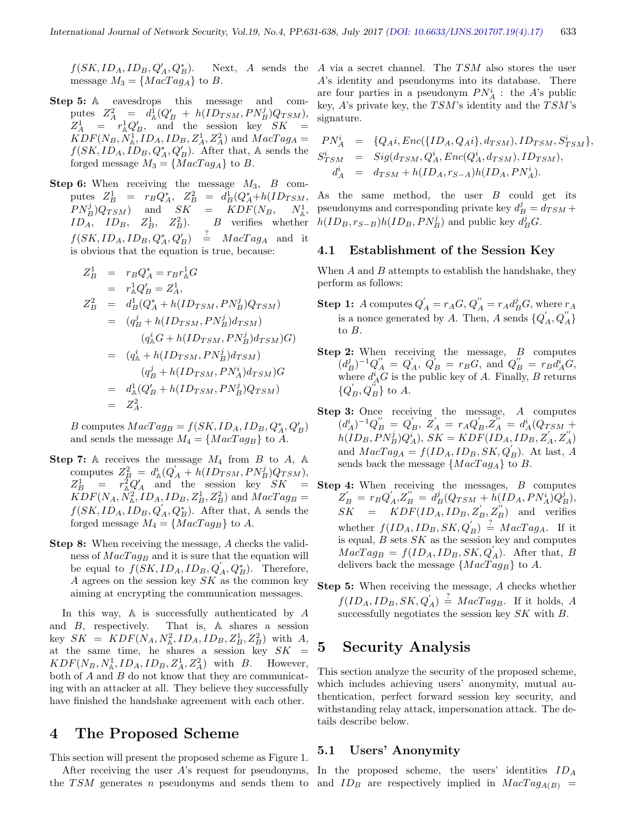$f(SK, ID_A, ID_B, Q'_A, Q^*_B)$ message  $M_3 = \{MacTag_A\}$  to B.

- Step 5: A eavesdrops this message and computes  $Z_A^2 = d_A^1(Q_B' + h(ID_{TSM}, PN_B^j)Q_{TSM}),$  $Z_A^1$  =  $r_A^1 Q_B'$ , and the session key  $SK$  =  $KDF(N_B, N_A^1, ID_A, ID_B, Z_A^1, Z_A^2)$  and  $MacTag_A =$  $f(SK, ID_A, ID_B, Q_A^*, Q_B')$ . After that, A sends the forged message  $M_3 = \{MacTag_A\}$  to B.
- **Step 6:** When receiving the message  $M_3$ ,  $B$  computes  $Z_B^1 = r_B Q_A^*$ ,  $Z_B^2 = d_B^1 (Q_A^* + h(ID_{TSM},$  $PN_B^j$ ) $Q_{TSM}$  and  $SK = KDF(N_B, N_A^1)$  $ID_A$ ,  $ID_B$ ,  $Z_B^1$ ,  $Z_B^2$ ). B verifies whether  $f(SK, ID_A, ID_B, Q_A^*, Q'_B) \stackrel{?}{=} MacTag_A$  and it is obvious that the equation is true, because:

$$
Z_B^1 = r_B Q_A^* = r_B r_A^1 G
$$
  
\n
$$
= r_A^1 Q_B' = Z_A^1,
$$
  
\n
$$
Z_B^2 = d_B^1 (Q_A^* + h(ID_{TSM}, PN_B^j) Q_{TSM})
$$
  
\n
$$
= (q_B^j + h(ID_{TSM}, PN_B^j) d_{TSM})
$$
  
\n
$$
(q_A^i G + h(ID_{TSM}, PN_B^j) d_{TSM})G
$$
  
\n
$$
= (q_A^i + h(ID_{TSM}, PN_B^j) d_{TSM})G
$$
  
\n
$$
= d_A^1 (Q_B' + h(ID_{TSM}, PN_B^j) Q_{TSM})
$$
  
\n
$$
= Z_A^2.
$$

B computes  $MacTag_B = f(SK, ID_A, ID_B, Q_A^*, Q_B')$ and sends the message  $M_4 = \{MacTag_B\}$  to A.

- **Step 7:** A receives the message  $M_4$  from B to A, A computes  $Z_B^2 = d_\mathbb{A}^i (Q_A' + h(ID_{TSM}, PN_B^j) Q_{TSM}),$  $Z_B^1$  =  $r_A^2 Q_A'$  and the session key  $SK$  =  $KDF(N_A, N_A^2, ID_A, ID_B, Z_B^1, Z_B^2)$  and  $MacTag_B =$  $f(SK, ID<sub>A</sub>, ID<sub>B</sub>, Q<sub>A</sub><sup>'</sup>, Q<sub>B</sub><sup>*</sup>).$  After that, A sends the forged message  $M_4 = \{MacTag_B\}$  to A.
- Step 8: When receiving the message, A checks the validness of  $MacTag_B$  and it is sure that the equation will be equal to  $f(SK, ID_A, ID_B, Q'_A, Q_B^*)$ . Therefore, A agrees on the session key  $SK$  as the common key aiming at encrypting the communication messages.

In this way,  $A$  is successfully authenticated by  $A$ and B, respectively. That is, A shares a session key  $SK = KDF(N_A, N_A^2, ID_A, ID_B, Z_B^1, Z_B^2)$  with A, at the same time, he shares a session key  $SK =$  $KDF(N_B, N_A^1, ID_A, ID_B, Z_A^1, Z_A^2)$  with B. However, both of A and B do not know that they are communicating with an attacker at all. They believe they successfully have finished the handshake agreement with each other.

## 4 The Proposed Scheme

This section will present the proposed scheme as Figure 1.

After receiving the user  $A$ 's request for pseudonyms, the TSM generates n pseudonyms and sends them to and  $ID_B$  are respectively implied in  $MacTag_{A(B)}$  =

 $B(E)$ . Next, A sends the A via a secret channel. The TSM also stores the user A's identity and pseudonyms into its database. There are four parties in a pseudonym  $PN_A^i$ : the A's public key,  $A$ 's private key, the  $TSM$ 's identity and the  $TSM$ 's signature.

$$
PN_A^i = \{Q_A i, Enc(\{ID_A, Q_A i\}, d_{TSM}), ID_{TSM}, S_{TSM}^i\},
$$
  
\n
$$
S_{TSM}^i = Sig(d_{TSM}, Q_A^i, Enc(Q_A^i, d_{TSM}), ID_{TSM}),
$$
  
\n
$$
d_A^i = d_{TSM} + h(ID_A, r_{S-A})h(ID_A, PN_A^i).
$$

As the same method, the user B could get its pseudonyms and corresponding private key  $d_B^j = d_{TSM} +$  $h(ID_B, r_{S-B})h(ID_B, PN_B^j)$  and public key  $d_B^jG$ .

#### 4.1 Establishment of the Session Key

When  $A$  and  $B$  attempts to establish the handshake, they perform as follows:

- **Step 1:** A computes  $Q'_{A} = r_{A}G$ ,  $Q''_{A} = r_{A}d_{B}^{j}G$ , where  $r_{A}$ is a nonce generated by A. Then, A sends  $\{Q^{'}_{A}, Q^{''}_{A}\}$ to B.
- Step 2: When receiving the message, B computes  $(d_B^j)^{-1}Q''_A = Q'_A, \ \ Q'_B = r_BG, \text{ and } Q''_B = r_Bd_A^iG,$ where  $d_A^i G$  is the public key of A. Finally, B returns  $\{Q'_B, Q''_B\}$  to A.
- Step 3: Once receiving the message, A computes  $(d_A^i)^{-1}Q_B^{"}= Q_B^{'},\ \breve{Z}_A^{'}=r_AQ_B^{'},\breve{Z}_A^{'''}=d_A^i(Q_{TSM}+$  $h(ID_B, PN_B^j)Q_A^i), \, SK = KDF(ID_A, ID_B, Z_A^{'}, Z_A^{''})$ and  $MacTag_A = f(ID_A, ID_B, SK, Q_B)$ . At last, A sends back the message  $\{MacTag_A\}$  to B.
- Step 4: When receiving the messages, B computes  $Z_{B}^{'}\,=\,r_{B}Q_{A}^{'}, Z_{B}^{''}\,=\,\overline{d_{B}^{j}}(Q_{TSM}+\breve{h}(ID_{A},PN_{A}^{i})Q_{B}^{j}),$  $SK = KDF(ID_A, ID_B, Z'_B, Z''_B)$  and verifies whether  $f(ID_A, ID_B, SK, Q'_B) \stackrel{?}{=} MacTag_A$ . If it is equal,  $B$  sets  $SK$  as the session key and computes  $MacTag_B = f(ID_A, ID_B, SK, Q'_A)$ . After that, B delivers back the message  $\{MacTag_B\}$  to A.
- Step 5: When receiving the message, A checks whether  $f(ID_A, ID_B, SK, Q'_A) \stackrel{?}{=} MacTag_B$ . If it holds, A successfully negotiates the session key  $SK$  with  $B$ .

## 5 Security Analysis

This section analyze the security of the proposed scheme, which includes achieving users' anonymity, mutual authentication, perfect forward session key security, and withstanding relay attack, impersonation attack. The details describe below.

#### 5.1 Users' Anonymity

In the proposed scheme, the users' identities  $ID_A$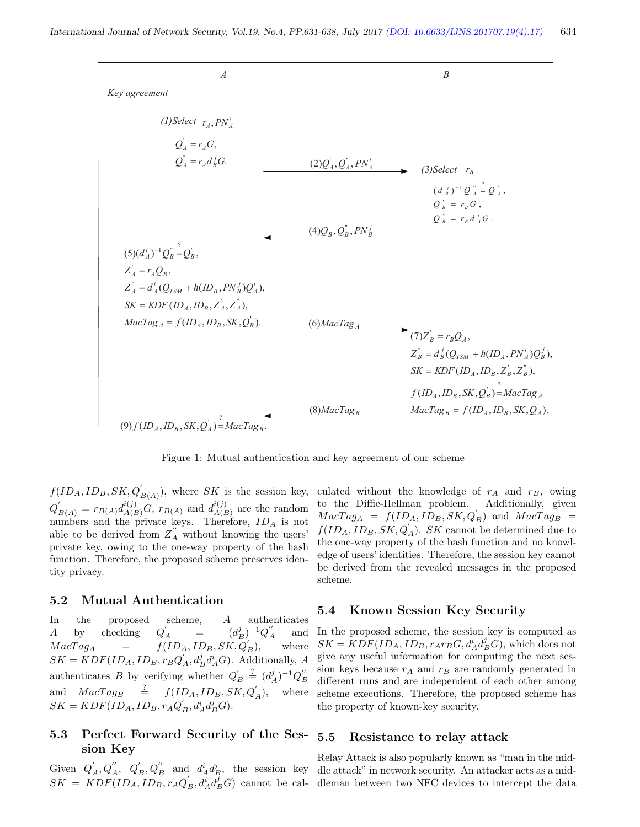

Figure 1: Mutual authentication and key agreement of our scheme

 $f(ID_A, ID_B, SK, Q'_{B(A)})$ , where SK is the session key,  $Q'_{B(A)} = r_{B(A)} d_{A(B)}^{i(j)} G$ ,  $r_{B(A)}$  and  $d_{A(B)}^{i(j)}$  $\mathcal{A}(B)$  are the random numbers and the private keys. Therefore,  $ID_A$  is not able to be derived from  $Z_A^{''}$  without knowing the users' private key, owing to the one-way property of the hash function. Therefore, the proposed scheme preserves identity privacy.

#### 5.2 Mutual Authentication

In the proposed scheme, A authenticates  $A$  by checking  $\int_{A}^{'} = (d_{B}^{j})^{-1} Q_{A}^{''}$  and  $MacTag<sub>A</sub>$  =  $f(ID<sub>A</sub>, ID<sub>B</sub>, SK, Q<sub>B</sub><sup>'</sup>),$ where  $SK = KDF(ID_A, ID_B, r_BQ'_A, d_B^j d_A^i G)$ . Additionally, A authenticates B by verifying whether  $Q'_B \stackrel{?}{=} (d_A^j)^{-1} Q''_B$ and  $MacTag_B \stackrel{?}{=} f(ID_A, ID_B, SK, Q'_A),$  where  $SK = KDF(ID_A, ID_B, r_A Q'_B, d_A^i d_B^j G).$ 

#### 5.3 Perfect Forward Security of the Session Key

 $SK = KDF(ID_A, ID_B, r_A Q'_B, d_A^i d_B^j G)$  cannot be cal-dleman between two NFC devices to intercept the data

culated without the knowledge of  $r_A$  and  $r_B$ , owing to the Diffie-Hellman problem. Additionally, given  $MacTag_A = f(ID_A, ID_B, SK, Q_B)$  and  $MacTag_B$  =  $f(ID_A, ID_B, SK, Q_A)$ . SK cannot be determined due to the one-way property of the hash function and no knowledge of users' identities. Therefore, the session key cannot be derived from the revealed messages in the proposed scheme.

#### 5.4 Known Session Key Security

In the proposed scheme, the session key is computed as  $SK = KDF(ID_A, ID_B, r_Ar_BG, d_A^i d_B^j G)$ , which does not give any useful information for computing the next session keys because  $r_A$  and  $r_B$  are randomly generated in different runs and are independent of each other among scheme executions. Therefore, the proposed scheme has the property of known-key security.

#### 5.5 Resistance to relay attack

Given  $Q'_A, Q''_A, Q'_B, Q''_B$  and  $d_A^i d_B^j$ , the session key dle attack" in network security. An attacker acts as a mid-Relay Attack is also popularly known as "man in the mid-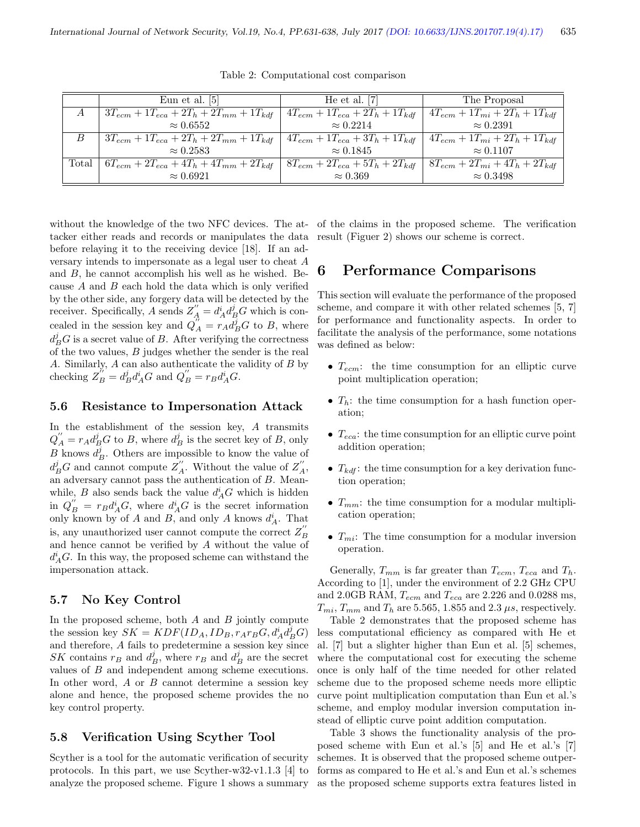|       | Eun et al. [5]                                    | He et al. $ 7 $                         | The Proposal                           |
|-------|---------------------------------------------------|-----------------------------------------|----------------------------------------|
| А     | $3T_{ecm} + 1T_{eca} + 2T_h + 2T_{mm} + 1T_{kdf}$ | $4T_{ecm} + 1T_{eca} + 2T_h + 1T_{kdf}$ | $4T_{ecm} + 1T_{mi} + 2T_h + 1T_{kdf}$ |
|       | $\approx 0.6552$                                  | $\approx 0.2214$                        | $\approx 0.2391$                       |
| B     | $3T_{ecm} + 1T_{eca} + 2T_h + 2T_{mm} + 1T_{kdf}$ | $4T_{ecm} + 1T_{eca} + 3T_h + 1T_{kdf}$ | $4T_{ecm} + 1T_{mi} + 2T_h + 1T_{kdf}$ |
|       | $\approx 0.2583$                                  | $\approx 0.1845$                        | $\approx 0.1107$                       |
| Total | $6T_{ecm} + 2T_{eca} + 4T_h + 4T_{mm} + 2T_{kdf}$ | $8T_{ecm} + 2T_{eca} + 5T_h + 2T_{kdf}$ | $8T_{ecm} + 2T_{mi} + 4T_h + 2T_{kdf}$ |
|       | $\approx 0.6921$                                  | $\approx 0.369$                         | $\approx 0.3498$                       |

Table 2: Computational cost comparison

without the knowledge of the two NFC devices. The attacker either reads and records or manipulates the data before relaying it to the receiving device [18]. If an adversary intends to impersonate as a legal user to cheat A and B, he cannot accomplish his well as he wished. Because  $A$  and  $B$  each hold the data which is only verified by the other side, any forgery data will be detected by the receiver. Specifically, A sends  $Z_A'' = d_A^i d_B^j G$  which is concealed in the session key and  $Q''_A = r_A \overline{d}_B^j G$  to B, where  $d_B^j G$  is a secret value of B. After verifying the correctness of the two values, B judges whether the sender is the real A. Similarly,  $A$  can also authenticate the validity of  $B$  by checking  $Z_B^{h'} = d_B^j d_A^i G$  and  $Q_B^{\prime\prime} = r_B d_A^i G$ .

#### 5.6 Resistance to Impersonation Attack

In the establishment of the session key, A transmits  $Q_A'' = r_A d_B^j G$  to B, where  $d_B^j$  is the secret key of B, only  $B$  knows  $d_B^j$ . Others are impossible to know the value of  $d_B^j G$  and cannot compute  $Z''_A$ . Without the value of  $Z''_A$ , an adversary cannot pass the authentication of B. Meanwhile,  $B$  also sends back the value  $d_A^i G$  which is hidden in  $Q_B'' = r_B d_A^i G$ , where  $d_A^i G$  is the secret information only known by of A and B, and only A knows  $d_A^i$ . That is, any unauthorized user cannot compute the correct  $Z_B^{''}$ and hence cannot be verified by A without the value of  $d_A^i$ G. In this way, the proposed scheme can withstand the impersonation attack.

#### 5.7 No Key Control

In the proposed scheme, both  $A$  and  $B$  jointly compute the session key  $SK = KDF(ID_A, ID_B, r_Ar_BG, d_A^i d_B^j G)$ and therefore, A fails to predetermine a session key since SK contains  $r_B$  and  $d_B^j$ , where  $r_B$  and  $d_B^j$  are the secret values of B and independent among scheme executions. In other word, A or B cannot determine a session key alone and hence, the proposed scheme provides the no key control property.

#### 5.8 Verification Using Scyther Tool

Scyther is a tool for the automatic verification of security protocols. In this part, we use Scyther-w32-v1.1.3 [4] to analyze the proposed scheme. Figure 1 shows a summary

of the claims in the proposed scheme. The verification result (Figuer 2) shows our scheme is correct.

## 6 Performance Comparisons

This section will evaluate the performance of the proposed scheme, and compare it with other related schemes [5, 7] for performance and functionality aspects. In order to facilitate the analysis of the performance, some notations was defined as below:

- $T_{ecm}$ : the time consumption for an elliptic curve point multiplication operation;
- $T_h$ : the time consumption for a hash function operation;
- $T_{eca}$ : the time consumption for an elliptic curve point addition operation;
- $T_{kdf}$ : the time consumption for a key derivation function operation;
- $T_{mm}$ : the time consumption for a modular multiplication operation;
- $T_{mi}$ : The time consumption for a modular inversion operation.

Generally,  $T_{mm}$  is far greater than  $T_{ecm}$ ,  $T_{eca}$  and  $T_h$ . According to [1], under the environment of 2.2 GHz CPU and 2.0GB RAM,  $T_{ecm}$  and  $T_{eca}$  are 2.226 and 0.0288 ms,  $T_{mi}$ ,  $T_{mm}$  and  $T_h$  are 5.565, 1.855 and 2.3  $\mu s$ , respectively.

Table 2 demonstrates that the proposed scheme has less computational efficiency as compared with He et al. [7] but a slighter higher than Eun et al. [5] schemes, where the computational cost for executing the scheme once is only half of the time needed for other related scheme due to the proposed scheme needs more elliptic curve point multiplication computation than Eun et al.'s scheme, and employ modular inversion computation instead of elliptic curve point addition computation.

Table 3 shows the functionality analysis of the proposed scheme with Eun et al.'s [5] and He et al.'s [7] schemes. It is observed that the proposed scheme outperforms as compared to He et al.'s and Eun et al.'s schemes as the proposed scheme supports extra features listed in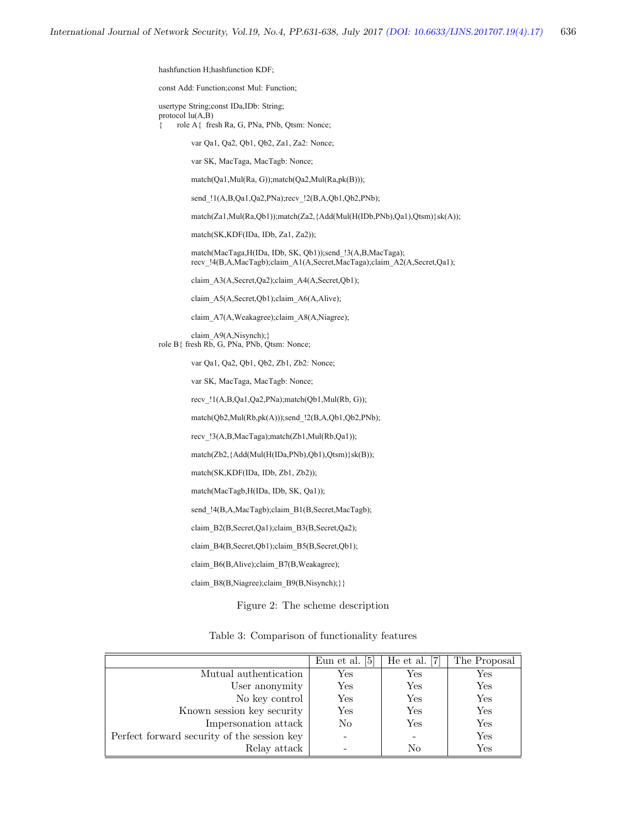hashfunction H;hashfunction KDF;

const Add: Function;const Mul: Function;

usertype String;const IDa,IDb: String; protocol lu(A,B)

{ role A{ fresh Ra, G, PNa, PNb, Qtsm: Nonce;

var Qa1, Qa2, Qb1, Qb2, Za1, Za2: Nonce;

var SK, MacTaga, MacTagb: Nonce;

match(Qa1,Mul(Ra, G));match(Qa2,Mul(Ra,pk(B)));

send !1(A,B,Qa1,Qa2,PNa);recv !2(B,A,Qb1,Qb2,PNb);

match(Za1,Mul(Ra,Qb1));match(Za2,{Add(Mul(H(IDb,PNb),Qa1),Qtsm)}sk(A));

match(SK,KDF(IDa, IDb, Za1, Za2));

 match(MacTaga,H(IDa, IDb, SK, Qb1));send\_!3(A,B,MacTaga); recv\_!4(B,A,MacTagb);claim\_A1(A,Secret,MacTaga);claim\_A2(A,Secret,Qa1);

claim\_A3(A,Secret,Qa2);claim\_A4(A,Secret,Qb1);

claim\_A5(A,Secret,Qb1);claim\_A6(A,Alive);

claim\_A7(A,Weakagree);claim\_A8(A,Niagree);

 claim\_A9(A,Nisynch);} role B{ fresh Rb, G, PNa, PNb, Qtsm: Nonce;

var Qa1, Qa2, Qb1, Qb2, Zb1, Zb2: Nonce;

var SK, MacTaga, MacTagb: Nonce;

recv\_!1(A,B,Qa1,Qa2,PNa);match(Qb1,Mul(Rb, G));

match(Qb2,Mul(Rb,pk(A)));send\_!2(B,A,Qb1,Qb2,PNb);

recv\_!3(A,B,MacTaga);match(Zb1,Mul(Rb,Qa1));

match(Zb2,{Add(Mul(H(IDa,PNb),Qb1),Qtsm)}sk(B));

match(SK,KDF(IDa, IDb, Zb1, Zb2));

match(MacTagb,H(IDa, IDb, SK, Qa1));

send\_!4(B,A,MacTagb);claim\_B1(B,Secret,MacTagb);

claim\_B2(B,Secret,Qa1);claim\_B3(B,Secret,Qa2);

claim\_B4(B,Secret,Qb1);claim\_B5(B,Secret,Qb1);

claim\_B6(B,Alive);claim\_B7(B,Weakagree);

claim\_B8(B,Niagree);claim\_B9(B,Nisynch);}}

Figure 2: The scheme description

Table 3: Comparison of functionality features

|                                             | Eun et al. $[5]$     | He et al. $[7]$      | The Proposal |
|---------------------------------------------|----------------------|----------------------|--------------|
| Mutual authentication                       | $\operatorname{Yes}$ | $\operatorname{Yes}$ | Yes          |
| User anonymity                              | $\operatorname{Yes}$ | Yes                  | Yes          |
| No key control                              | Yes                  | Yes                  | Yes          |
| Known session key security                  | Yes                  | Yes                  | Yes          |
| Impersonation attack                        | No                   | Yes                  | Yes          |
| Perfect forward security of the session key |                      |                      | Yes          |
| Relay attack                                |                      | No                   | Yes          |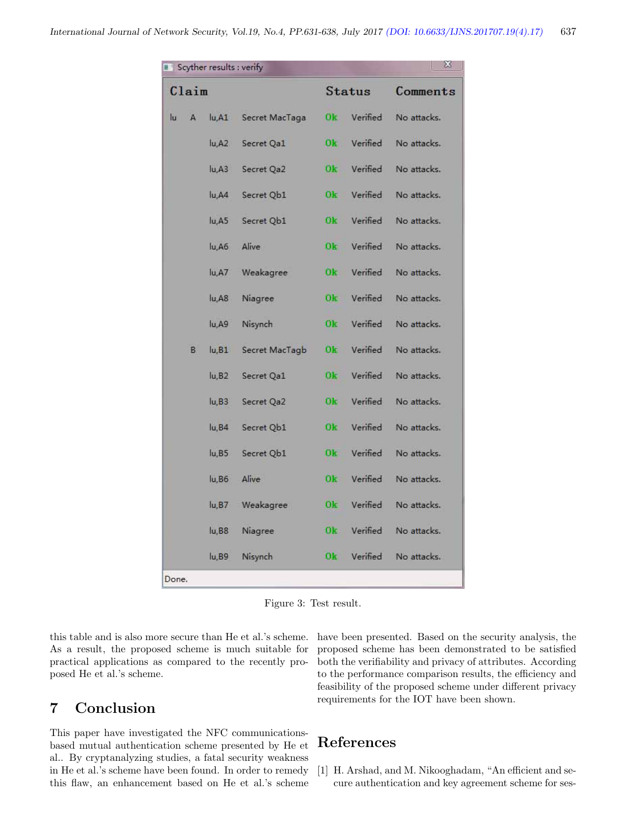| $^{22}$<br>Scyther results : verify |    |                |                |                            |             |
|-------------------------------------|----|----------------|----------------|----------------------------|-------------|
| Claim                               |    |                |                | <b>Status</b>              | Comments    |
| lu                                  | A  | lu, A1         | Secret MacTaga | Verified<br>Ok.            | No attacks. |
|                                     |    | u, A2          | Secret Qa1     | Ok<br>Verified             | No attacks. |
|                                     |    | u, A3          | Secret Qa2     | Verified<br>0k             | No attacks. |
|                                     |    | lu,A4          | Secret Qb1     | 10<br>Verified             | No attacks. |
|                                     |    | lu, A5         | Secret Qb1     | 0k.<br>Verified            | No attacks. |
|                                     |    | u, A6          | Alive          | 0k<br>Verified             | No attacks. |
|                                     |    | lu, A7         | Weakagree      | 0k<br>Verified             | No attacks. |
|                                     |    | u, AB          | Niagree        | Verified<br>O <sub>k</sub> | No attacks. |
|                                     |    | u, A9          | Nisynch        | Verified<br>0k.            | No attacks. |
|                                     | B. | u, B1          | Secret MacTagb | 0 <sub>k</sub><br>Verified | No attacks. |
|                                     |    | u,B2           | Secret Qa1     | Ok<br>Verified             | No attacks. |
|                                     |    | $ u,B3\rangle$ | Secret Qa2     | Verified<br>0k             | No attacks. |
|                                     |    | u, B4          | Secret Qb1     | Verified<br>Ok             | No attacks. |
|                                     |    | u, B5          | Secret Qb1     | Verified<br>Ok.            | No attacks. |
|                                     |    | $lu$ , $B6$    | Alive          | Verified<br>Ok.            | No attacks. |
|                                     |    | u,B7           | Weakagree      | 0k<br>Verified             | No attacks. |
|                                     |    | u, B8          | Niagree        | Verified<br>0k.            | No attacks. |
|                                     |    | u,B9           | Nisynch        | Verified<br>Ok             | No attacks. |
| Done.                               |    |                |                |                            |             |

Figure 3: Test result.

this table and is also more secure than He et al.'s scheme. As a result, the proposed scheme is much suitable for practical applications as compared to the recently proposed He et al.'s scheme.

## 7 Conclusion

This paper have investigated the NFC communicationsbased mutual authentication scheme presented by He et al.. By cryptanalyzing studies, a fatal security weakness in He et al.'s scheme have been found. In order to remedy this flaw, an enhancement based on He et al.'s scheme have been presented. Based on the security analysis, the proposed scheme has been demonstrated to be satisfied both the verifiability and privacy of attributes. According to the performance comparison results, the efficiency and feasibility of the proposed scheme under different privacy requirements for the IOT have been shown.

## References

[1] H. Arshad, and M. Nikooghadam, "An efficient and secure authentication and key agreement scheme for ses